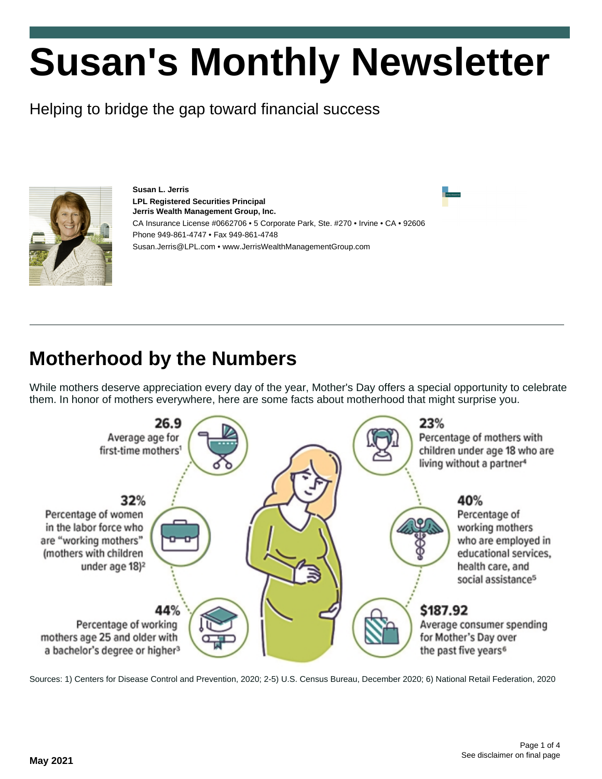# **Susan's Monthly Newsletter**

Helping to bridge the gap toward financial success



**Susan L. Jerris LPL Registered Securities Principal Jerris Wealth Management Group, Inc.** CA Insurance License #0662706 • 5 Corporate Park, Ste. #270 • Irvine • CA • 92606 Phone 949-861-4747 • Fax 949-861-4748 Susan.Jerris@LPL.com • www.JerrisWealthManagementGroup.com

## **Motherhood by the Numbers**

While mothers deserve appreciation every day of the year, Mother's Day offers a special opportunity to celebrate them. In honor of mothers everywhere, here are some facts about motherhood that might surprise you.



Sources: 1) Centers for Disease Control and Prevention, 2020; 2-5) U.S. Census Bureau, December 2020; 6) National Retail Federation, 2020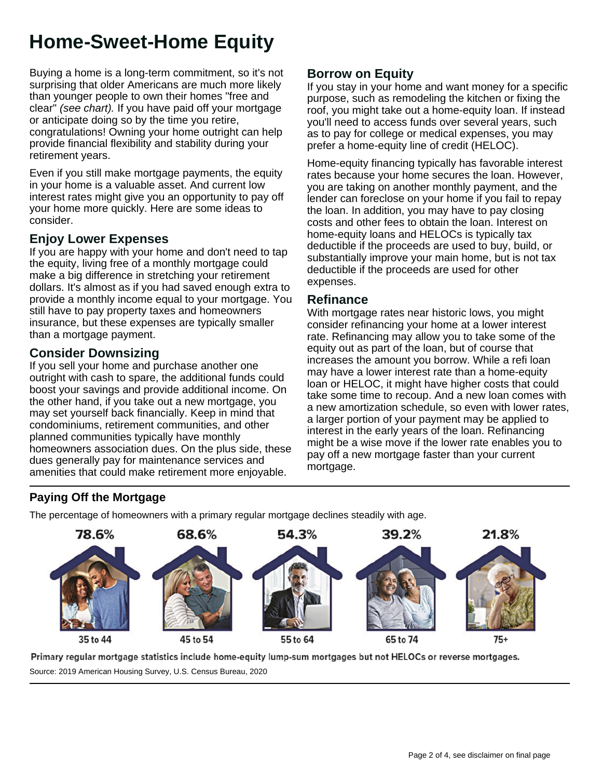## **Home-Sweet-Home Equity**

Buying a home is a long-term commitment, so it's not surprising that older Americans are much more likely than younger people to own their homes "free and clear" (see chart). If you have paid off your mortgage or anticipate doing so by the time you retire, congratulations! Owning your home outright can help provide financial flexibility and stability during your retirement years.

Even if you still make mortgage payments, the equity in your home is a valuable asset. And current low interest rates might give you an opportunity to pay off your home more quickly. Here are some ideas to consider.

#### **Enjoy Lower Expenses**

If you are happy with your home and don't need to tap the equity, living free of a monthly mortgage could make a big difference in stretching your retirement dollars. It's almost as if you had saved enough extra to provide a monthly income equal to your mortgage. You still have to pay property taxes and homeowners insurance, but these expenses are typically smaller than a mortgage payment.

#### **Consider Downsizing**

If you sell your home and purchase another one outright with cash to spare, the additional funds could boost your savings and provide additional income. On the other hand, if you take out a new mortgage, you may set yourself back financially. Keep in mind that condominiums, retirement communities, and other planned communities typically have monthly homeowners association dues. On the plus side, these dues generally pay for maintenance services and amenities that could make retirement more enjoyable.

#### **Borrow on Equity**

If you stay in your home and want money for a specific purpose, such as remodeling the kitchen or fixing the roof, you might take out a home-equity loan. If instead you'll need to access funds over several years, such as to pay for college or medical expenses, you may prefer a home-equity line of credit (HELOC).

Home-equity financing typically has favorable interest rates because your home secures the loan. However, you are taking on another monthly payment, and the lender can foreclose on your home if you fail to repay the loan. In addition, you may have to pay closing costs and other fees to obtain the loan. Interest on home-equity loans and HELOCs is typically tax deductible if the proceeds are used to buy, build, or substantially improve your main home, but is not tax deductible if the proceeds are used for other expenses.

#### **Refinance**

With mortgage rates near historic lows, you might consider refinancing your home at a lower interest rate. Refinancing may allow you to take some of the equity out as part of the loan, but of course that increases the amount you borrow. While a refi loan may have a lower interest rate than a home-equity loan or HELOC, it might have higher costs that could take some time to recoup. And a new loan comes with a new amortization schedule, so even with lower rates, a larger portion of your payment may be applied to interest in the early years of the loan. Refinancing might be a wise move if the lower rate enables you to pay off a new mortgage faster than your current mortgage.

#### **Paying Off the Mortgage**

The percentage of homeowners with a primary regular mortgage declines steadily with age.



Primary regular mortgage statistics include home-equity lump-sum mortgages but not HELOCs or reverse mortgages.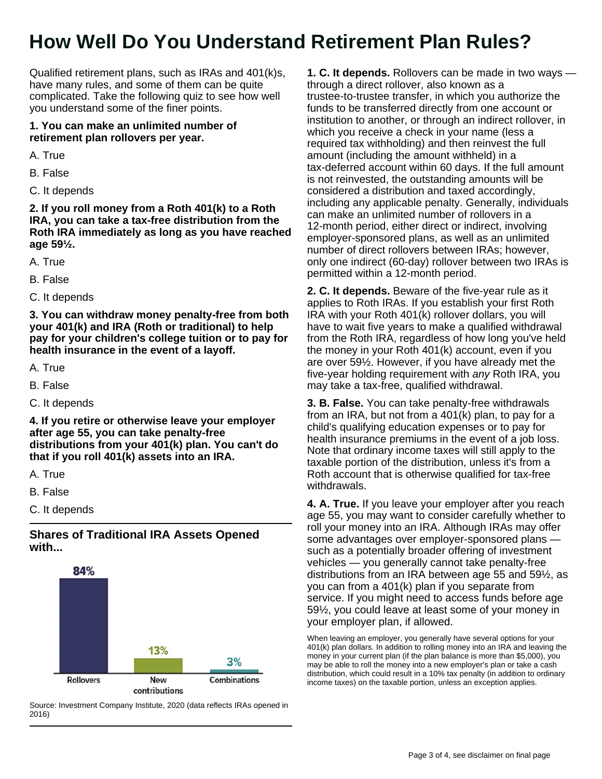## **How Well Do You Understand Retirement Plan Rules?**

Qualified retirement plans, such as IRAs and 401(k)s, have many rules, and some of them can be quite complicated. Take the following quiz to see how well you understand some of the finer points.

#### **1. You can make an unlimited number of retirement plan rollovers per year.**

A. True

- B. False
- C. It depends

**2. If you roll money from a Roth 401(k) to a Roth IRA, you can take a tax-free distribution from the Roth IRA immediately as long as you have reached age 59½.**

- A. True
- B. False
- C. It depends

**3. You can withdraw money penalty-free from both your 401(k) and IRA (Roth or traditional) to help pay for your children's college tuition or to pay for health insurance in the event of a layoff.**

- A. True
- B. False
- C. It depends

**4. If you retire or otherwise leave your employer after age 55, you can take penalty-free distributions from your 401(k) plan. You can't do that if you roll 401(k) assets into an IRA.**

- A. True
- B. False
- C. It depends

#### **Shares of Traditional IRA Assets Opened with...**



Source: Investment Company Institute, 2020 (data reflects IRAs opened in 2016)

**1. C. It depends.** Rollovers can be made in two ways through a direct rollover, also known as a trustee-to-trustee transfer, in which you authorize the funds to be transferred directly from one account or institution to another, or through an indirect rollover, in which you receive a check in your name (less a required tax withholding) and then reinvest the full amount (including the amount withheld) in a tax-deferred account within 60 days. If the full amount is not reinvested, the outstanding amounts will be considered a distribution and taxed accordingly, including any applicable penalty. Generally, individuals can make an unlimited number of rollovers in a 12-month period, either direct or indirect, involving employer-sponsored plans, as well as an unlimited number of direct rollovers between IRAs; however, only one indirect (60-day) rollover between two IRAs is permitted within a 12-month period.

**2. C. It depends.** Beware of the five-year rule as it applies to Roth IRAs. If you establish your first Roth IRA with your Roth 401(k) rollover dollars, you will have to wait five years to make a qualified withdrawal from the Roth IRA, regardless of how long you've held the money in your Roth 401(k) account, even if you are over 59½. However, if you have already met the five-year holding requirement with any Roth IRA, you may take a tax-free, qualified withdrawal.

**3. B. False.** You can take penalty-free withdrawals from an IRA, but not from a 401(k) plan, to pay for a child's qualifying education expenses or to pay for health insurance premiums in the event of a job loss. Note that ordinary income taxes will still apply to the taxable portion of the distribution, unless it's from a Roth account that is otherwise qualified for tax-free withdrawals.

**4. A. True.** If you leave your employer after you reach age 55, you may want to consider carefully whether to roll your money into an IRA. Although IRAs may offer some advantages over employer-sponsored plans such as a potentially broader offering of investment vehicles — you generally cannot take penalty-free distributions from an IRA between age 55 and 59½, as you can from a 401(k) plan if you separate from service. If you might need to access funds before age 59½, you could leave at least some of your money in your employer plan, if allowed.

When leaving an employer, you generally have several options for your 401(k) plan dollars. In addition to rolling money into an IRA and leaving the money in your current plan (if the plan balance is more than \$5,000), you may be able to roll the money into a new employer's plan or take a cash distribution, which could result in a 10% tax penalty (in addition to ordinary income taxes) on the taxable portion, unless an exception applies.